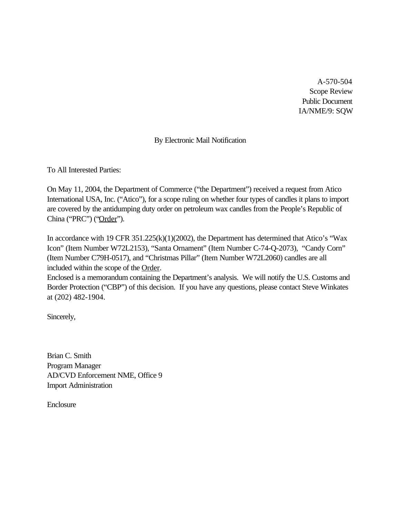A-570-504 Scope Review Public Document IA/NME/9: SQW

# By Electronic Mail Notification

To All Interested Parties:

On May 11, 2004, the Department of Commerce ("the Department") received a request from Atico International USA, Inc. ("Atico"), for a scope ruling on whether four types of candles it plans to import are covered by the antidumping duty order on petroleum wax candles from the People's Republic of China ("PRC") ("Order").

In accordance with 19 CFR 351.225(k)(1)(2002), the Department has determined that Atico's "Wax Icon" (Item Number W72L2153), "Santa Ornament" (Item Number C-74-Q-2073), "Candy Corn" (Item Number C79H-0517), and "Christmas Pillar" (Item Number W72L2060) candles are all included within the scope of the Order.

Enclosed is a memorandum containing the Department's analysis. We will notify the U.S. Customs and Border Protection ("CBP") of this decision. If you have any questions, please contact Steve Winkates at (202) 482-1904.

Sincerely,

Brian C. Smith Program Manager AD/CVD Enforcement NME, Office 9 Import Administration

Enclosure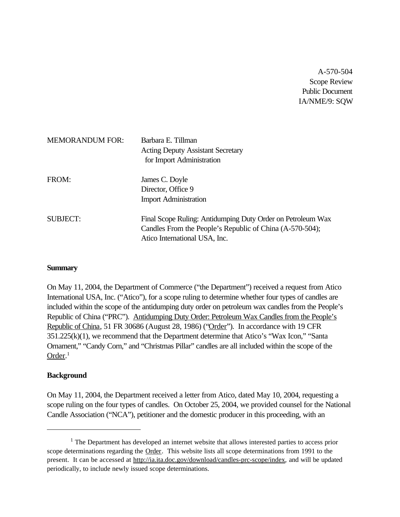A-570-504 Scope Review Public Document IA/NME/9: SQW

| <b>MEMORANDUM FOR:</b> | Barbara E. Tillman<br><b>Acting Deputy Assistant Secretary</b><br>for Import Administration                                                              |
|------------------------|----------------------------------------------------------------------------------------------------------------------------------------------------------|
| FROM:                  | James C. Doyle<br>Director, Office 9<br><b>Import Administration</b>                                                                                     |
| <b>SUBJECT:</b>        | Final Scope Ruling: Antidumping Duty Order on Petroleum Wax<br>Candles From the People's Republic of China (A-570-504);<br>Atico International USA, Inc. |

## **Summary**

On May 11, 2004, the Department of Commerce ("the Department") received a request from Atico International USA, Inc. ("Atico"), for a scope ruling to determine whether four types of candles are included within the scope of the antidumping duty order on petroleum wax candles from the People's Republic of China ("PRC"). Antidumping Duty Order: Petroleum Wax Candles from the People's Republic of China, 51 FR 30686 (August 28, 1986) ("Order"). In accordance with 19 CFR 351.225(k)(1), we recommend that the Department determine that Atico's "Wax Icon," "Santa Ornament," "Candy Corn," and "Christmas Pillar" candles are all included within the scope of the Order.<sup>1</sup>

## **Background**

On May 11, 2004, the Department received a letter from Atico, dated May 10, 2004, requesting a scope ruling on the four types of candles. On October 25, 2004, we provided counsel for the National Candle Association ("NCA"), petitioner and the domestic producer in this proceeding, with an

 $<sup>1</sup>$  The Department has developed an internet website that allows interested parties to access prior</sup> scope determinations regarding the Order. This website lists all scope determinations from 1991 to the present. It can be accessed at http://ia.ita.doc.gov/download/candles-prc-scope/index, and will be updated periodically, to include newly issued scope determinations.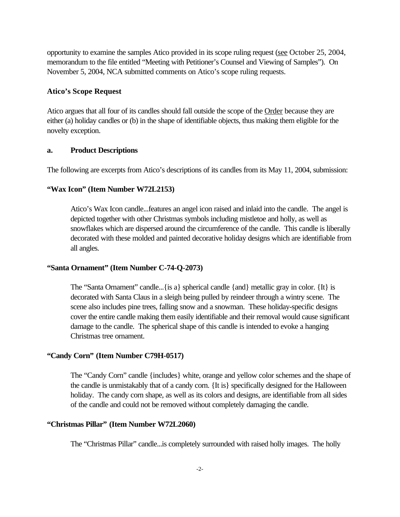opportunity to examine the samples Atico provided in its scope ruling request (see October 25, 2004, memorandum to the file entitled "Meeting with Petitioner's Counsel and Viewing of Samples"). On November 5, 2004, NCA submitted comments on Atico's scope ruling requests.

#### **Atico's Scope Request**

Atico argues that all four of its candles should fall outside the scope of the Order because they are either (a) holiday candles or (b) in the shape of identifiable objects, thus making them eligible for the novelty exception.

#### **a. Product Descriptions**

The following are excerpts from Atico's descriptions of its candles from its May 11, 2004, submission:

#### **"Wax Icon" (Item Number W72L2153)**

Atico's Wax Icon candle...features an angel icon raised and inlaid into the candle. The angel is depicted together with other Christmas symbols including mistletoe and holly, as well as snowflakes which are dispersed around the circumference of the candle. This candle is liberally decorated with these molded and painted decorative holiday designs which are identifiable from all angles.

#### **"Santa Ornament" (Item Number C-74-Q-2073)**

The "Santa Ornament" candle...{is a} spherical candle {and} metallic gray in color. {It} is decorated with Santa Claus in a sleigh being pulled by reindeer through a wintry scene. The scene also includes pine trees, falling snow and a snowman. These holiday-specific designs cover the entire candle making them easily identifiable and their removal would cause significant damage to the candle. The spherical shape of this candle is intended to evoke a hanging Christmas tree ornament.

#### **"Candy Corn" (Item Number C79H-0517)**

The "Candy Corn" candle {includes} white, orange and yellow color schemes and the shape of the candle is unmistakably that of a candy corn. {It is} specifically designed for the Halloween holiday. The candy corn shape, as well as its colors and designs, are identifiable from all sides of the candle and could not be removed without completely damaging the candle.

#### **"Christmas Pillar" (Item Number W72L2060)**

The "Christmas Pillar" candle...is completely surrounded with raised holly images. The holly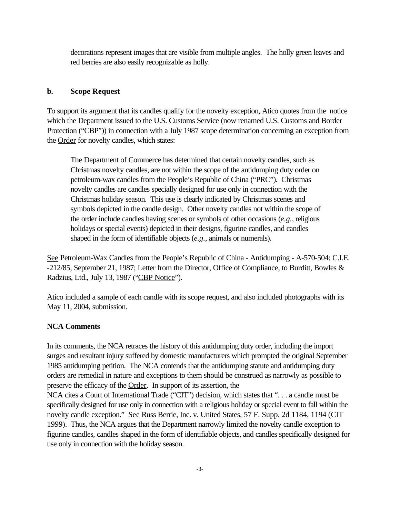decorations represent images that are visible from multiple angles. The holly green leaves and red berries are also easily recognizable as holly.

## **b. Scope Request**

To support its argument that its candles qualify for the novelty exception, Atico quotes from the notice which the Department issued to the U.S. Customs Service (now renamed U.S. Customs and Border Protection ("CBP")) in connection with a July 1987 scope determination concerning an exception from the Order for novelty candles, which states:

The Department of Commerce has determined that certain novelty candles, such as Christmas novelty candles, are not within the scope of the antidumping duty order on petroleum-wax candles from the People's Republic of China ("PRC"). Christmas novelty candles are candles specially designed for use only in connection with the Christmas holiday season. This use is clearly indicated by Christmas scenes and symbols depicted in the candle design. Other novelty candles not within the scope of the order include candles having scenes or symbols of other occasions (*e.g.*, religious holidays or special events) depicted in their designs, figurine candles, and candles shaped in the form of identifiable objects (*e.g.*, animals or numerals).

See Petroleum-Wax Candles from the People's Republic of China - Antidumping - A-570-504; C.I.E. -212/85, September 21, 1987; Letter from the Director, Office of Compliance, to Burditt, Bowles & Radzius, Ltd., July 13, 1987 ("CBP Notice").

Atico included a sample of each candle with its scope request, and also included photographs with its May 11, 2004, submission.

## **NCA Comments**

In its comments, the NCA retraces the history of this antidumping duty order, including the import surges and resultant injury suffered by domestic manufacturers which prompted the original September 1985 antidumping petition. The NCA contends that the antidumping statute and antidumping duty orders are remedial in nature and exceptions to them should be construed as narrowly as possible to preserve the efficacy of the Order. In support of its assertion, the

NCA cites a Court of International Trade ("CIT") decision, which states that ". . . a candle must be specifically designed for use only in connection with a religious holiday or special event to fall within the novelty candle exception." See Russ Berrie, Inc. v. United States, 57 F. Supp. 2d 1184, 1194 (CIT 1999). Thus, the NCA argues that the Department narrowly limited the novelty candle exception to figurine candles, candles shaped in the form of identifiable objects, and candles specifically designed for use only in connection with the holiday season.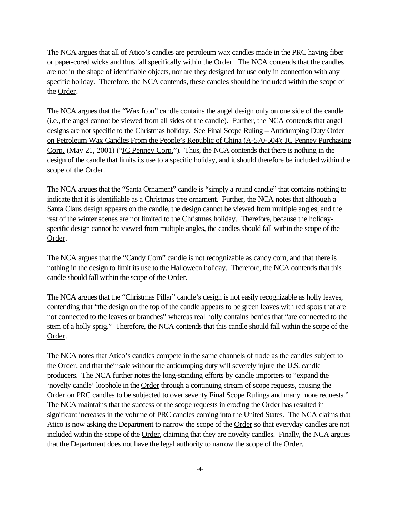The NCA argues that all of Atico's candles are petroleum wax candles made in the PRC having fiber or paper-cored wicks and thus fall specifically within the Order. The NCA contends that the candles are not in the shape of identifiable objects, nor are they designed for use only in connection with any specific holiday. Therefore, the NCA contends, these candles should be included within the scope of the Order.

The NCA argues that the "Wax Icon" candle contains the angel design only on one side of the candle (i.e., the angel cannot be viewed from all sides of the candle). Further, the NCA contends that angel designs are not specific to the Christmas holiday. See Final Scope Ruling – Antidumping Duty Order on Petroleum Wax Candles From the People's Republic of China (A-570-504); JC Penney Purchasing Corp. (May 21, 2001) ("IC Penney Corp."). Thus, the NCA contends that there is nothing in the design of the candle that limits its use to a specific holiday, and it should therefore be included within the scope of the Order.

The NCA argues that the "Santa Ornament" candle is "simply a round candle" that contains nothing to indicate that it is identifiable as a Christmas tree ornament. Further, the NCA notes that although a Santa Claus design appears on the candle, the design cannot be viewed from multiple angles, and the rest of the winter scenes are not limited to the Christmas holiday. Therefore, because the holidayspecific design cannot be viewed from multiple angles, the candles should fall within the scope of the Order.

The NCA argues that the "Candy Corn" candle is not recognizable as candy corn, and that there is nothing in the design to limit its use to the Halloween holiday. Therefore, the NCA contends that this candle should fall within the scope of the Order.

The NCA argues that the "Christmas Pillar" candle's design is not easily recognizable as holly leaves, contending that "the design on the top of the candle appears to be green leaves with red spots that are not connected to the leaves or branches" whereas real holly contains berries that "are connected to the stem of a holly sprig." Therefore, the NCA contends that this candle should fall within the scope of the Order.

The NCA notes that Atico's candles compete in the same channels of trade as the candles subject to the Order, and that their sale without the antidumping duty will severely injure the U.S. candle producers. The NCA further notes the long-standing efforts by candle importers to "expand the 'novelty candle' loophole in the Order through a continuing stream of scope requests, causing the Order on PRC candles to be subjected to over seventy Final Scope Rulings and many more requests." The NCA maintains that the success of the scope requests in eroding the Order has resulted in significant increases in the volume of PRC candles coming into the United States. The NCA claims that Atico is now asking the Department to narrow the scope of the Order so that everyday candles are not included within the scope of the Order, claiming that they are novelty candles. Finally, the NCA argues that the Department does not have the legal authority to narrow the scope of the Order.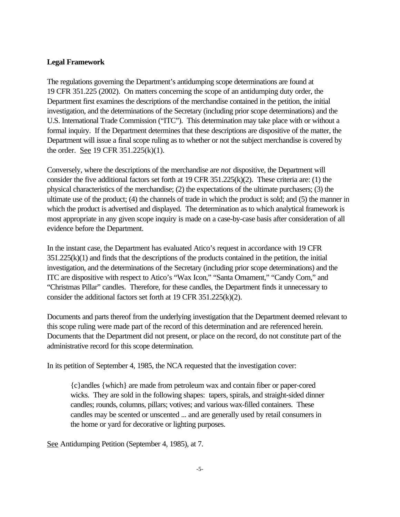## **Legal Framework**

The regulations governing the Department's antidumping scope determinations are found at 19 CFR 351.225 (2002). On matters concerning the scope of an antidumping duty order, the Department first examines the descriptions of the merchandise contained in the petition, the initial investigation, and the determinations of the Secretary (including prior scope determinations) and the U.S. International Trade Commission ("ITC"). This determination may take place with or without a formal inquiry. If the Department determines that these descriptions are dispositive of the matter, the Department will issue a final scope ruling as to whether or not the subject merchandise is covered by the order. See 19 CFR 351.225(k)(1).

Conversely, where the descriptions of the merchandise are *not* dispositive, the Department will consider the five additional factors set forth at 19 CFR 351.225(k)(2). These criteria are: (1) the physical characteristics of the merchandise; (2) the expectations of the ultimate purchasers; (3) the ultimate use of the product; (4) the channels of trade in which the product is sold; and (5) the manner in which the product is advertised and displayed. The determination as to which analytical framework is most appropriate in any given scope inquiry is made on a case-by-case basis after consideration of all evidence before the Department.

In the instant case, the Department has evaluated Atico's request in accordance with 19 CFR 351.225(k)(1) and finds that the descriptions of the products contained in the petition, the initial investigation, and the determinations of the Secretary (including prior scope determinations) and the ITC are dispositive with respect to Atico's "Wax Icon," "Santa Ornament," "Candy Corn," and "Christmas Pillar" candles. Therefore, for these candles, the Department finds it unnecessary to consider the additional factors set forth at 19 CFR 351.225(k)(2).

Documents and parts thereof from the underlying investigation that the Department deemed relevant to this scope ruling were made part of the record of this determination and are referenced herein. Documents that the Department did not present, or place on the record, do not constitute part of the administrative record for this scope determination.

In its petition of September 4, 1985, the NCA requested that the investigation cover:

{c}andles {which} are made from petroleum wax and contain fiber or paper-cored wicks. They are sold in the following shapes: tapers, spirals, and straight-sided dinner candles; rounds, columns, pillars; votives; and various wax-filled containers. These candles may be scented or unscented ... and are generally used by retail consumers in the home or yard for decorative or lighting purposes.

See Antidumping Petition (September 4, 1985), at 7.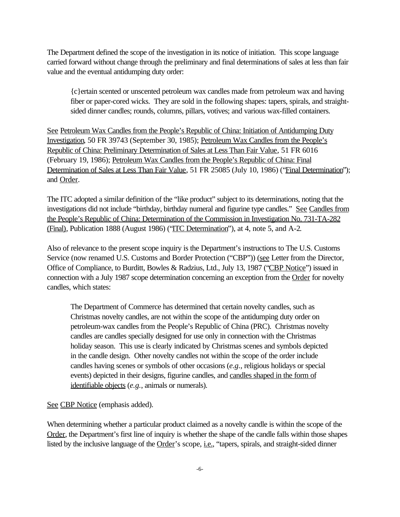The Department defined the scope of the investigation in its notice of initiation. This scope language carried forward without change through the preliminary and final determinations of sales at less than fair value and the eventual antidumping duty order:

{c}ertain scented or unscented petroleum wax candles made from petroleum wax and having fiber or paper-cored wicks. They are sold in the following shapes: tapers, spirals, and straightsided dinner candles; rounds, columns, pillars, votives; and various wax-filled containers.

See Petroleum Wax Candles from the People's Republic of China: Initiation of Antidumping Duty Investigation, 50 FR 39743 (September 30, 1985); Petroleum Wax Candles from the People's Republic of China: Preliminary Determination of Sales at Less Than Fair Value, 51 FR 6016 (February 19, 1986); Petroleum Wax Candles from the People's Republic of China: Final Determination of Sales at Less Than Fair Value, 51 FR 25085 (July 10, 1986) ("Final Determination"); and Order.

The ITC adopted a similar definition of the "like product" subject to its determinations, noting that the investigations did not include "birthday, birthday numeral and figurine type candles." See Candles from the People's Republic of China: Determination of the Commission in Investigation No. 731-TA-282 (Final), Publication 1888 (August 1986) ("ITC Determination"), at 4, note 5, and A-2.

Also of relevance to the present scope inquiry is the Department's instructions to The U.S. Customs Service (now renamed U.S. Customs and Border Protection ("CBP")) (see Letter from the Director, Office of Compliance, to Burditt, Bowles & Radzius, Ltd., July 13, 1987 ("CBP Notice") issued in connection with a July 1987 scope determination concerning an exception from the Order for novelty candles, which states:

The Department of Commerce has determined that certain novelty candles, such as Christmas novelty candles, are not within the scope of the antidumping duty order on petroleum-wax candles from the People's Republic of China (PRC). Christmas novelty candles are candles specially designed for use only in connection with the Christmas holiday season. This use is clearly indicated by Christmas scenes and symbols depicted in the candle design. Other novelty candles not within the scope of the order include candles having scenes or symbols of other occasions (*e.g.*, religious holidays or special events) depicted in their designs, figurine candles, and candles shaped in the form of identifiable objects (*e.g.*, animals or numerals).

See CBP Notice (emphasis added).

When determining whether a particular product claimed as a novelty candle is within the scope of the Order, the Department's first line of inquiry is whether the shape of the candle falls within those shapes listed by the inclusive language of the Order's scope, *i.e.*, "tapers, spirals, and straight-sided dinner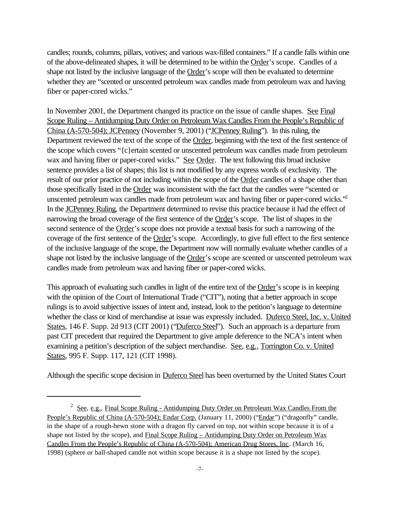candles; rounds, columns, pillars, votives; and various wax-filled containers." If a candle falls within one of the above-delineated shapes, it will be determined to be within the Order's scope. Candles of a shape not listed by the inclusive language of the Order's scope will then be evaluated to determine whether they are "scented or unscented petroleum wax candles made from petroleum wax and having fiber or paper-cored wicks."

In November 2001, the Department changed its practice on the issue of candle shapes. See Final Scope Ruling – Antidumping Duty Order on Petroleum Wax Candles From the People's Republic of China (A-570-504); JCPenney (November 9, 2001) ("JCPenney Ruling"). In this ruling, the Department reviewed the text of the scope of the Order, beginning with the text of the first sentence of the scope which covers "{c}ertain scented or unscented petroleum wax candles made from petroleum wax and having fiber or paper-cored wicks." See Order. The text following this broad inclusive sentence provides a list of shapes; this list is not modified by any express words of exclusivity. The result of our prior practice of not including within the scope of the Order candles of a shape other than those specifically listed in the Order was inconsistent with the fact that the candles were "scented or unscented petroleum wax candles made from petroleum wax and having fiber or paper-cored wicks."<sup>2</sup> In the JCPenney Ruling, the Department determined to revise this practice because it had the effect of narrowing the broad coverage of the first sentence of the Order's scope. The list of shapes in the second sentence of the Order's scope does not provide a textual basis for such a narrowing of the coverage of the first sentence of the Order's scope. Accordingly, to give full effect to the first sentence of the inclusive language of the scope, the Department now will normally evaluate whether candles of a shape not listed by the inclusive language of the Order's scope are scented or unscented petroleum wax candles made from petroleum wax and having fiber or paper-cored wicks.

This approach of evaluating such candles in light of the entire text of the Order's scope is in keeping with the opinion of the Court of International Trade ("CIT"), noting that a better approach in scope rulings is to avoid subjective issues of intent and, instead, look to the petition's language to determine whether the class or kind of merchandise at issue was expressly included. Duferco Steel, Inc. v. United States, 146 F. Supp. 2d 913 (CIT 2001) ("Duferco Steel"). Such an approach is a departure from past CIT precedent that required the Department to give ample deference to the NCA's intent when examining a petition's description of the subject merchandise. See, e.g., Torrington Co. v. United States, 995 F. Supp. 117, 121 (CIT 1998).

Although the specific scope decision in Duferco Steel has been overturned by the United States Court

<sup>&</sup>lt;sup>2</sup> See, e.g., Final Scope Ruling - Antidumping Duty Order on Petroleum Wax Candles From the People's Republic of China (A-570-504); Endar Corp. (January 11, 2000) ("Endar") ("dragonfly" candle, in the shape of a rough-hewn stone with a dragon fly carved on top, not within scope because it is of a shape not listed by the scope), and Final Scope Ruling – Antidumping Duty Order on Petroleum Wax Candles From the People's Republic of China (A-570-504); American Drug Stores, Inc. (March 16, 1998) (sphere or ball-shaped candle not within scope because it is a shape not listed by the scope).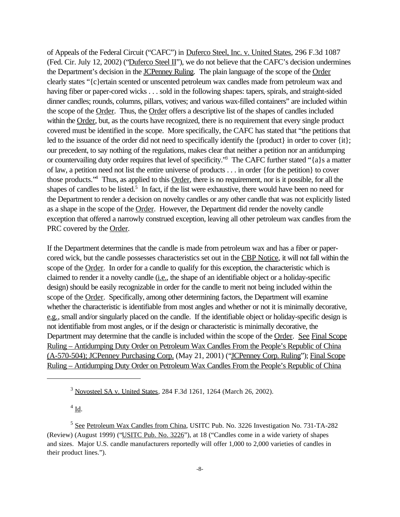of Appeals of the Federal Circuit ("CAFC") in Duferco Steel, Inc. v. United States, 296 F.3d 1087 (Fed. Cir. July 12, 2002) ("Duferco Steel II"), we do not believe that the CAFC's decision undermines the Department's decision in the **JCPenney Ruling**. The plain language of the scope of the Order clearly states "{c}ertain scented or unscented petroleum wax candles made from petroleum wax and having fiber or paper-cored wicks . . . sold in the following shapes: tapers, spirals, and straight-sided dinner candles; rounds, columns, pillars, votives; and various wax-filled containers" are included within the scope of the <u>Order</u>. Thus, the **Order** offers a descriptive list of the shapes of candles included within the Order, but, as the courts have recognized, there is no requirement that every single product covered must be identified in the scope. More specifically, the CAFC has stated that "the petitions that led to the issuance of the order did not need to specifically identify the {product} in order to cover {it}; our precedent, to say nothing of the regulations, makes clear that neither a petition nor an antidumping or countervailing duty order requires that level of specificity."<sup>3</sup> The CAFC further stated "{a}s a matter of law, a petition need not list the entire universe of products . . . in order {for the petition} to cover those products."<sup>4</sup> Thus, as applied to this Order, there is no requirement, nor is it possible, for all the shapes of candles to be listed.<sup>5</sup> In fact, if the list were exhaustive, there would have been no need for the Department to render a decision on novelty candles or any other candle that was not explicitly listed as a shape in the scope of the Order. However, the Department did render the novelty candle exception that offered a narrowly construed exception, leaving all other petroleum wax candles from the PRC covered by the Order.

If the Department determines that the candle is made from petroleum wax and has a fiber or papercored wick, but the candle possesses characteristics set out in the CBP Notice, it will not fall within the scope of the Order. In order for a candle to qualify for this exception, the characteristic which is claimed to render it a novelty candle (i.e., the shape of an identifiable object or a holiday-specific design) should be easily recognizable in order for the candle to merit not being included within the scope of the Order. Specifically, among other determining factors, the Department will examine whether the characteristic is identifiable from most angles and whether or not it is minimally decorative, e.g., small and/or singularly placed on the candle. If the identifiable object or holiday-specific design is not identifiable from most angles, or if the design or characteristic is minimally decorative, the Department may determine that the candle is included within the scope of the Order. See Final Scope Ruling – Antidumping Duty Order on Petroleum Wax Candles From the People's Republic of China (A-570-504); JCPenney Purchasing Corp. (May 21, 2001) ("JCPenney Corp. Ruling"); Final Scope Ruling – Antidumping Duty Order on Petroleum Wax Candles From the People's Republic of China

 $4 \underline{\text{Id}}$ .

<sup>3</sup> Novosteel SA v. United States, 284 F.3d 1261, 1264 (March 26, 2002).

<sup>&</sup>lt;sup>5</sup> See Petroleum Wax Candles from China, USITC Pub. No. 3226 Investigation No. 731-TA-282 (Review) (August 1999) ("USITC Pub. No. 3226"), at 18 ("Candles come in a wide variety of shapes and sizes. Major U.S. candle manufacturers reportedly will offer 1,000 to 2,000 varieties of candles in their product lines.").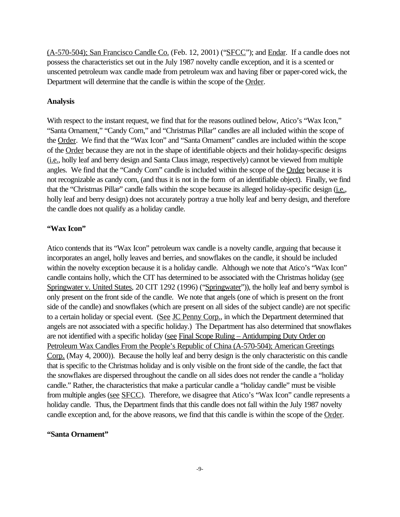(A-570-504); San Francisco Candle Co. (Feb. 12, 2001) ("SFCC"); and Endar. If a candle does not possess the characteristics set out in the July 1987 novelty candle exception, and it is a scented or unscented petroleum wax candle made from petroleum wax and having fiber or paper-cored wick, the Department will determine that the candle is within the scope of the Order.

#### **Analysis**

With respect to the instant request, we find that for the reasons outlined below, Atico's "Wax Icon," "Santa Ornament," "Candy Corn," and "Christmas Pillar" candles are all included within the scope of the Order. We find that the "Wax Icon" and "Santa Ornament" candles are included within the scope of the Order because they are not in the shape of identifiable objects and their holiday-specific designs (i.e., holly leaf and berry design and Santa Claus image, respectively) cannot be viewed from multiple angles. We find that the "Candy Corn" candle is included within the scope of the Order because it is not recognizable as candy corn, (and thus it is not in the form of an identifiable object). Finally, we find that the "Christmas Pillar" candle falls within the scope because its alleged holiday-specific design (*i.e.*, holly leaf and berry design) does not accurately portray a true holly leaf and berry design, and therefore the candle does not qualify as a holiday candle.

#### **"Wax Icon"**

Atico contends that its "Wax Icon" petroleum wax candle is a novelty candle, arguing that because it incorporates an angel, holly leaves and berries, and snowflakes on the candle, it should be included within the novelty exception because it is a holiday candle. Although we note that Atico's "Wax Icon" candle contains holly, which the CIT has determined to be associated with the Christmas holiday (see Springwater v. United States, 20 CIT 1292 (1996) ("Springwater")), the holly leaf and berry symbol is only present on the front side of the candle. We note that angels (one of which is present on the front side of the candle) and snowflakes (which are present on all sides of the subject candle) are not specific to a certain holiday or special event. (See JC Penny Corp., in which the Department determined that angels are not associated with a specific holiday.) The Department has also determined that snowflakes are not identified with a specific holiday (see Final Scope Ruling – Antidumping Duty Order on Petroleum Wax Candles From the People's Republic of China (A-570-504); American Greetings Corp. (May 4, 2000)). Because the holly leaf and berry design is the only characteristic on this candle that is specific to the Christmas holiday and is only visible on the front side of the candle, the fact that the snowflakes are dispersed throughout the candle on all sides does not render the candle a "holiday candle." Rather, the characteristics that make a particular candle a "holiday candle" must be visible from multiple angles (see SFCC). Therefore, we disagree that Atico's "Wax Icon" candle represents a holiday candle. Thus, the Department finds that this candle does not fall within the July 1987 novelty candle exception and, for the above reasons, we find that this candle is within the scope of the Order.

#### **"Santa Ornament"**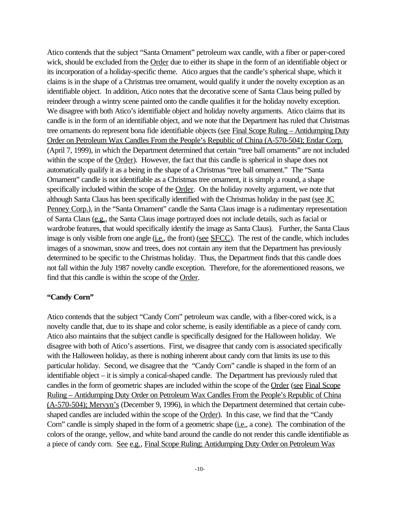Atico contends that the subject "Santa Ornament" petroleum wax candle, with a fiber or paper-cored wick, should be excluded from the Order due to either its shape in the form of an identifiable object or its incorporation of a holiday-specific theme. Atico argues that the candle's spherical shape, which it claims is in the shape of a Christmas tree ornament, would qualify it under the novelty exception as an identifiable object. In addition, Atico notes that the decorative scene of Santa Claus being pulled by reindeer through a wintry scene painted onto the candle qualifies it for the holiday novelty exception. We disagree with both Atico's identifiable object and holiday novelty arguments. Atico claims that its candle is in the form of an identifiable object, and we note that the Department has ruled that Christmas tree ornaments do represent bona fide identifiable objects (see Final Scope Ruling – Antidumping Duty Order on Petroleum Wax Candles From the People's Republic of China (A-570-504); Endar Corp. (April 7, 1999), in which the Department determined that certain "tree ball ornaments" are not included within the scope of the Order). However, the fact that this candle is spherical in shape does not automatically qualify it as a being in the shape of a Christmas "tree ball ornament." The "Santa Ornament" candle is not identifiable as a Christmas tree ornament, it is simply a round, a shape specifically included within the scope of the Order. On the holiday novelty argument, we note that although Santa Claus has been specifically identified with the Christmas holiday in the past (see JC Penney Corp.), in the "Santa Ornament" candle the Santa Claus image is a rudimentary representation of Santa Claus (e.g., the Santa Claus image portrayed does not include details, such as facial or wardrobe features, that would specifically identify the image as Santa Claus). Further, the Santa Claus image is only visible from one angle (i.e., the front) (see SFCC). The rest of the candle, which includes images of a snowman, snow and trees, does not contain any item that the Department has previously determined to be specific to the Christmas holiday. Thus, the Department finds that this candle does not fall within the July 1987 novelty candle exception. Therefore, for the aforementioned reasons, we find that this candle is within the scope of the Order.

#### **"Candy Corn"**

Atico contends that the subject "Candy Corn" petroleum wax candle, with a fiber-cored wick, is a novelty candle that, due to its shape and color scheme, is easily identifiable as a piece of candy corn. Atico also maintains that the subject candle is specifically designed for the Halloween holiday. We disagree with both of Atico's assertions. First, we disagree that candy corn is associated specifically with the Halloween holiday, as there is nothing inherent about candy corn that limits its use to this particular holiday. Second, we disagree that the "Candy Corn" candle is shaped in the form of an identifiable object – it is simply a conical-shaped candle. The Department has previously ruled that candles in the form of geometric shapes are included within the scope of the Order (see Final Scope Ruling – Antidumping Duty Order on Petroleum Wax Candles From the People's Republic of China (A-570-504); Mervyn's (December 9, 1996), in which the Department determined that certain cubeshaped candles are included within the scope of the Order). In this case, we find that the "Candy Corn" candle is simply shaped in the form of a geometric shape (i.e., a cone). The combination of the colors of the orange, yellow, and white band around the candle do not render this candle identifiable as a piece of candy corn. See e.g., Final Scope Ruling; Antidumping Duty Order on Petroleum Wax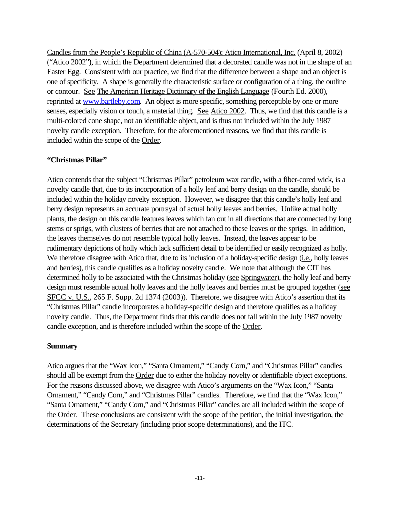Candles from the People's Republic of China (A-570-504); Atico International, Inc. (April 8, 2002) ("Atico 2002"), in which the Department determined that a decorated candle was not in the shape of an Easter Egg. Consistent with our practice, we find that the difference between a shape and an object is one of specificity. A shape is generally the characteristic surface or configuration of a thing, the outline or contour. See The American Heritage Dictionary of the English Language (Fourth Ed. 2000), reprinted at www.bartleby.com. An object is more specific, something perceptible by one or more senses, especially vision or touch, a material thing. See Atico 2002. Thus, we find that this candle is a multi-colored cone shape, not an identifiable object, and is thus not included within the July 1987 novelty candle exception. Therefore, for the aforementioned reasons, we find that this candle is included within the scope of the Order.

## **"Christmas Pillar"**

Atico contends that the subject "Christmas Pillar" petroleum wax candle, with a fiber-cored wick, is a novelty candle that, due to its incorporation of a holly leaf and berry design on the candle, should be included within the holiday novelty exception. However, we disagree that this candle's holly leaf and berry design represents an accurate portrayal of actual holly leaves and berries. Unlike actual holly plants, the design on this candle features leaves which fan out in all directions that are connected by long stems or sprigs, with clusters of berries that are not attached to these leaves or the sprigs. In addition, the leaves themselves do not resemble typical holly leaves. Instead, the leaves appear to be rudimentary depictions of holly which lack sufficient detail to be identified or easily recognized as holly. We therefore disagree with Atico that, due to its inclusion of a holiday-specific design (i.e., holly leaves and berries), this candle qualifies as a holiday novelty candle. We note that although the CIT has determined holly to be associated with the Christmas holiday (see Springwater), the holly leaf and berry design must resemble actual holly leaves and the holly leaves and berries must be grouped together (see SFCC v. U.S., 265 F. Supp. 2d 1374 (2003)). Therefore, we disagree with Atico's assertion that its "Christmas Pillar" candle incorporates a holiday-specific design and therefore qualifies as a holiday novelty candle. Thus, the Department finds that this candle does not fall within the July 1987 novelty candle exception, and is therefore included within the scope of the Order.

## **Summary**

Atico argues that the "Wax Icon," "Santa Ornament," "Candy Corn," and "Christmas Pillar" candles should all be exempt from the Order due to either the holiday novelty or identifiable object exceptions. For the reasons discussed above, we disagree with Atico's arguments on the "Wax Icon," "Santa Ornament," "Candy Corn," and "Christmas Pillar" candles. Therefore, we find that the "Wax Icon," "Santa Ornament," "Candy Corn," and "Christmas Pillar" candles are all included within the scope of the Order. These conclusions are consistent with the scope of the petition, the initial investigation, the determinations of the Secretary (including prior scope determinations), and the ITC.